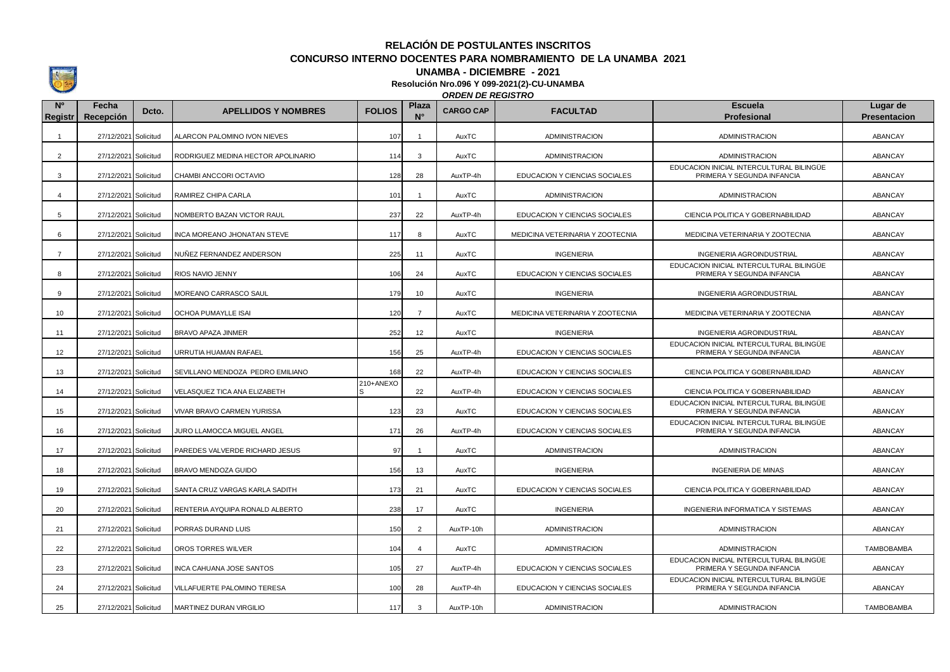**RELACIÓN DE POSTULANTES INSCRITOS CONCURSO INTERNO DOCENTES PARA NOMBRAMIENTO DE LA UNAMBA 2021**

## **UNAMBA - DICIEMBRE - 2021**

**Resolución Nro.096 Y 099-2021(2)-CU-UNAMBA**

*ORDEN DE REGISTRO*

| N <sup>o</sup><br>Registr | Fecha<br>Recepción   | Dcto. | <b>APELLIDOS Y NOMBRES</b>         | <b>FOLIOS</b> | Plaza<br>$N^{\circ}$    | <b>CARGO CAP</b> | <b>FACULTAD</b>                  | <b>Escuela</b><br><b>Profesional</b>                                   | Lugar de<br><b>Presentacion</b> |
|---------------------------|----------------------|-------|------------------------------------|---------------|-------------------------|------------------|----------------------------------|------------------------------------------------------------------------|---------------------------------|
| $\overline{1}$            | 27/12/2021 Solicitud |       | ALARCON PALOMINO IVON NIEVES       | 107           | $\overline{\mathbf{1}}$ | AuxTC            | <b>ADMINISTRACION</b>            | <b>ADMINISTRACION</b>                                                  | ABANCAY                         |
| $\overline{2}$            | 27/12/2021 Solicitud |       | RODRIGUEZ MEDINA HECTOR APOLINARIO | 114           | 3                       | AuxTC            | ADMINISTRACION                   | ADMINISTRACION                                                         | ABANCAY                         |
| 3                         | 27/12/2021 Solicitud |       | CHAMBI ANCCORI OCTAVIO             | 128           | 28                      | AuxTP-4h         | EDUCACION Y CIENCIAS SOCIALES    | EDUCACION INICIAL INTERCULTURAL BILINGÜE<br>PRIMERA Y SEGUNDA INFANCIA | ABANCAY                         |
| $\overline{4}$            | 27/12/2021 Solicitud |       | RAMIREZ CHIPA CARLA                | 101           | $\overline{1}$          | AuxTC            | <b>ADMINISTRACION</b>            | <b>ADMINISTRACION</b>                                                  | ABANCAY                         |
| 5                         | 27/12/2021 Solicitud |       | NOMBERTO BAZAN VICTOR RAUL         | 237           | 22                      | AuxTP-4h         | EDUCACION Y CIENCIAS SOCIALES    | CIENCIA POLITICA Y GOBERNABILIDAD                                      | ABANCAY                         |
| 6                         | 27/12/2021 Solicitud |       | INCA MOREANO JHONATAN STEVE        | 117           | 8                       | AuxTC            | MEDICINA VETERINARIA Y ZOOTECNIA | MEDICINA VETERINARIA Y ZOOTECNIA                                       | ABANCAY                         |
| $\overline{7}$            | 27/12/2021 Solicitud |       | NUÑEZ FERNANDEZ ANDERSON           | 225           | 11                      | AuxTC            | <b>INGENIERIA</b>                | INGENIERIA AGROINDUSTRIAL                                              | ABANCAY                         |
| 8                         | 27/12/2021 Solicitud |       | RIOS NAVIO JENNY                   | 106           | 24                      | AuxTC            | EDUCACION Y CIENCIAS SOCIALES    | EDUCACION INICIAL INTERCULTURAL BILINGÜE<br>PRIMERA Y SEGUNDA INFANCIA | ABANCAY                         |
| <b>q</b>                  | 27/12/2021 Solicitud |       | MOREANO CARRASCO SAUL              | 179           | 10                      | AuxTC            | <b>INGENIERIA</b>                | <b>INGENIERIA AGROINDUSTRIAL</b>                                       | <b>ABANCAY</b>                  |
| 10                        | 27/12/2021 Solicitud |       | <b>OCHOA PUMAYLLE ISAI</b>         | 120           | $\overline{7}$          | AuxTC            | MEDICINA VETERINARIA Y ZOOTECNIA | MEDICINA VETERINARIA Y ZOOTECNIA                                       | ABANCAY                         |
| 11                        | 27/12/2021 Solicitud |       | BRAVO APAZA JINMER                 | 252           | 12                      | AuxTC            | <b>INGENIERIA</b>                | INGENIERIA AGROINDUSTRIAL                                              | ABANCAY                         |
| 12                        | 27/12/2021 Solicitud |       | URRUTIA HUAMAN RAFAEL              | 156           | 25                      | AuxTP-4h         | EDUCACION Y CIENCIAS SOCIALES    | EDUCACION INICIAL INTERCULTURAL BILINGÜE<br>PRIMERA Y SEGUNDA INFANCIA | ABANCAY                         |
| 13                        | 27/12/2021 Solicitud |       | SEVILLANO MENDOZA PEDRO EMILIANO   | 168           | 22                      | AuxTP-4h         | EDUCACION Y CIENCIAS SOCIALES    | CIENCIA POLITICA Y GOBERNABILIDAD                                      | ABANCAY                         |
| 14                        | 27/12/2021 Solicitud |       | VELASQUEZ TICA ANA ELIZABETH       | 210+ANEXO     | 22                      | AuxTP-4h         | EDUCACION Y CIENCIAS SOCIALES    | CIENCIA POLITICA Y GOBERNABILIDAD                                      | ABANCAY                         |
| 15                        | 27/12/2021 Solicitud |       | VIVAR BRAVO CARMEN YURISSA         | 123           | 23                      | AuxTC            | EDUCACION Y CIENCIAS SOCIALES    | EDUCACION INICIAL INTERCULTURAL BILINGÜE<br>PRIMERA Y SEGUNDA INFANCIA | ABANCAY                         |
| 16                        | 27/12/2021 Solicitud |       | JURO LLAMOCCA MIGUEL ANGEL         | 171           | 26                      | AuxTP-4h         | EDUCACION Y CIENCIAS SOCIALES    | EDUCACION INICIAL INTERCULTURAL BILINGÜE<br>PRIMERA Y SEGUNDA INFANCIA | ABANCAY                         |
| 17                        | 27/12/2021 Solicitud |       | PAREDES VALVERDE RICHARD JESUS     | 97            | $\overline{1}$          | AuxTC            | <b>ADMINISTRACION</b>            | ADMINISTRACION                                                         | ABANCAY                         |
| 18                        | 27/12/2021 Solicitud |       | BRAVO MENDOZA GUIDO                | 156           | 13                      | AuxTC            | <b>INGENIERIA</b>                | <b>INGENIERIA DE MINAS</b>                                             | ABANCAY                         |
| 19                        | 27/12/2021 Solicitud |       | SANTA CRUZ VARGAS KARLA SADITH     | 173           | 21                      | AuxTC            | EDUCACION Y CIENCIAS SOCIALES    | CIENCIA POLITICA Y GOBERNABILIDAD                                      | ABANCAY                         |
| 20                        | 27/12/2021 Solicitud |       | RENTERIA AYQUIPA RONALD ALBERTO    | 238           | 17                      | AuxTC            | <b>INGENIERIA</b>                | INGENIERIA INFORMATICA Y SISTEMAS                                      | ABANCAY                         |
| 21                        | 27/12/2021 Solicitud |       | PORRAS DURAND LUIS                 | 150           | $\overline{2}$          | AuxTP-10h        | <b>ADMINISTRACION</b>            | ADMINISTRACION                                                         | ABANCAY                         |
| 22                        | 27/12/2021 Solicitud |       | OROS TORRES WILVER                 | 104           | $\overline{4}$          | AuxTC            | ADMINISTRACION                   | ADMINISTRACION                                                         | TAMBOBAMBA                      |
| 23                        | 27/12/2021 Solicitud |       | INCA CAHUANA JOSE SANTOS           | 105           | 27                      | AuxTP-4h         | EDUCACION Y CIENCIAS SOCIALES    | EDUCACION INICIAL INTERCULTURAL BILINGÜE<br>PRIMERA Y SEGUNDA INFANCIA | ABANCAY                         |
| 24                        | 27/12/2021 Solicitud |       | VILLAFUERTE PALOMINO TERESA        | 100           | 28                      | AuxTP-4h         | EDUCACION Y CIENCIAS SOCIALES    | EDUCACION INICIAL INTERCULTURAL BILINGÜE<br>PRIMERA Y SEGUNDA INFANCIA | ABANCAY                         |
| 25                        | 27/12/2021 Solicitud |       | MARTINEZ DURAN VIRGILIO            | 117           | 3                       | AuxTP-10h        | <b>ADMINISTRACION</b>            | <b>ADMINISTRACION</b>                                                  | <b>TAMBOBAMBA</b>               |

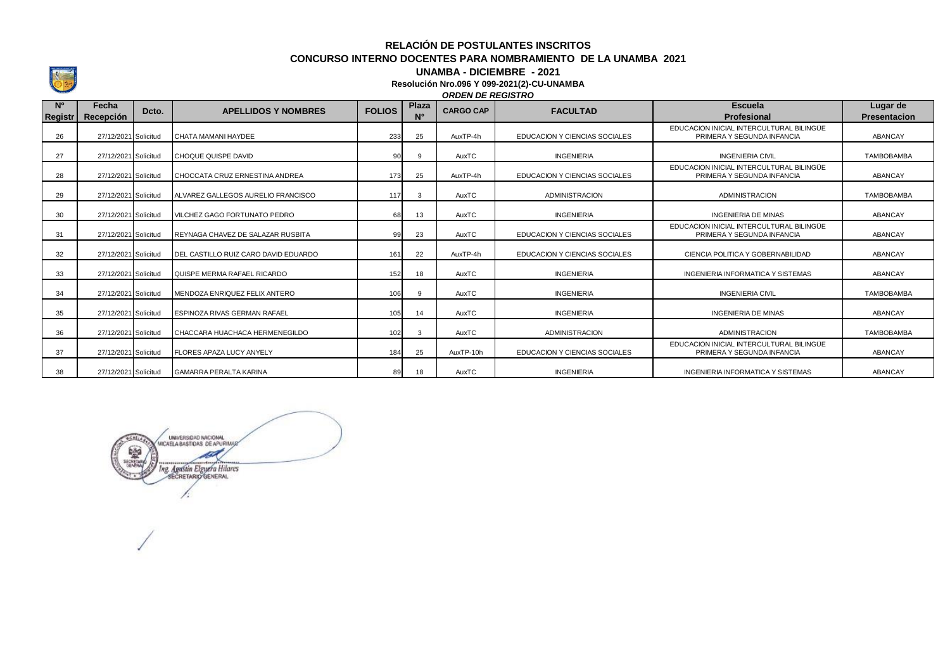**RELACIÓN DE POSTULANTES INSCRITOS CONCURSO INTERNO DOCENTES PARA NOMBRAMIENTO DE LA UNAMBA 2021**

## **UNAMBA - DICIEMBRE - 2021**

**Resolución Nro.096 Y 099-2021(2)-CU-UNAMBA**

## *ORDEN DE REGISTRO*

| N <sup>o</sup><br>Registr | Fecha<br>Recepción   | Dcto. | <b>APELLIDOS Y NOMBRES</b>           | <b>FOLIOS</b> | Plaza<br>$N^{\circ}$ | <b>CARGO CAP</b> | <b>FACULTAD</b>               | <b>Escuela</b><br><b>Profesional</b>                                   | Lugar de<br><b>Presentacion</b> |
|---------------------------|----------------------|-------|--------------------------------------|---------------|----------------------|------------------|-------------------------------|------------------------------------------------------------------------|---------------------------------|
| 26                        | 27/12/2021 Solicitud |       | CHATA MAMANI HAYDEE                  | 233           | 25                   | AuxTP-4h         | EDUCACION Y CIENCIAS SOCIALES | EDUCACION INICIAL INTERCULTURAL BILINGÜE<br>PRIMERA Y SEGUNDA INFANCIA | ABANCAY                         |
| 27                        | 27/12/2021 Solicitud |       | CHOQUE QUISPE DAVID                  |               |                      | AuxTC            | <b>INGENIERIA</b>             | <b>INGENIERIA CIVIL</b>                                                | <b>TAMBOBAMBA</b>               |
| 28                        | 27/12/2021 Solicitud |       | CHOCCATA CRUZ ERNESTINA ANDREA       | 173           | 25                   | AuxTP-4h         | EDUCACION Y CIENCIAS SOCIALES | EDUCACION INICIAL INTERCULTURAL BILINGÜE<br>PRIMERA Y SEGUNDA INFANCIA | ABANCAY                         |
| 29                        | 27/12/2021 Solicitud |       | ALVAREZ GALLEGOS AURELIO FRANCISCO   | 117           |                      | AuxTC            | <b>ADMINISTRACION</b>         | <b>ADMINISTRACION</b>                                                  | <b>TAMBOBAMBA</b>               |
| 30                        | 27/12/2021 Solicitud |       | VILCHEZ GAGO FORTUNATO PEDRO         | 68            | 13                   | AuxTC            | <b>INGENIERIA</b>             | <b>INGENIERIA DE MINAS</b>                                             | ABANCAY                         |
| 31                        | 27/12/2021 Solicitud |       | REYNAGA CHAVEZ DE SALAZAR RUSBITA    | 99            | 23                   | AuxTC            | EDUCACION Y CIENCIAS SOCIALES | EDUCACION INICIAL INTERCULTURAL BILINGÜE<br>PRIMERA Y SEGUNDA INFANCIA | ABANCAY                         |
| 32                        | 27/12/2021 Solicitud |       | DEL CASTILLO RUIZ CARO DAVID EDUARDO | 161           | 22                   | AuxTP-4h         | EDUCACION Y CIENCIAS SOCIALES | CIENCIA POLITICA Y GOBERNABILIDAD                                      | ABANCAY                         |
| 33                        | 27/12/2021 Solicitud |       | QUISPE MERMA RAFAEL RICARDO          | 152           | 18                   | AuxTC            | <b>INGENIERIA</b>             | <b>INGENIERIA INFORMATICA Y SISTEMAS</b>                               | ABANCAY                         |
| 34                        | 27/12/2021 Solicitud |       | MENDOZA ENRIQUEZ FELIX ANTERO        | 106           |                      | AuxTC            | <b>INGENIERIA</b>             | <b>INGENIERIA CIVIL</b>                                                | <b>TAMBOBAMBA</b>               |
| 35                        | 27/12/2021 Solicitud |       | ESPINOZA RIVAS GERMAN RAFAEL         | 105           | 14                   | AuxTC            | <b>INGENIERIA</b>             | <b>INGENIERIA DE MINAS</b>                                             | ABANCAY                         |
| 36                        | 27/12/2021 Solicitud |       | CHACCARA HUACHACA HERMENEGILDO       | 102           | વ                    | AuxTC            | <b>ADMINISTRACION</b>         | <b>ADMINISTRACION</b>                                                  | <b>TAMBOBAMBA</b>               |
| 37                        | 27/12/2021 Solicitud |       | <b>FLORES APAZA LUCY ANYELY</b>      | 184           | 25                   | AuxTP-10h        | EDUCACION Y CIENCIAS SOCIALES | EDUCACION INICIAL INTERCULTURAL BILINGÜE<br>PRIMERA Y SEGUNDA INFANCIA | ABANCAY                         |
| 38                        | 27/12/2021 Solicitud |       | <b>GAMARRA PERALTA KARINA</b>        | 89            | 18                   | AuxTC            | <b>INGENIERIA</b>             | <b>INGENIERIA INFORMATICA Y SISTEMAS</b>                               | ABANCAY                         |

UNIVERSIDAD NACIONAL WEARER **SEP** Ing. Agustin Elguera Hilares r: